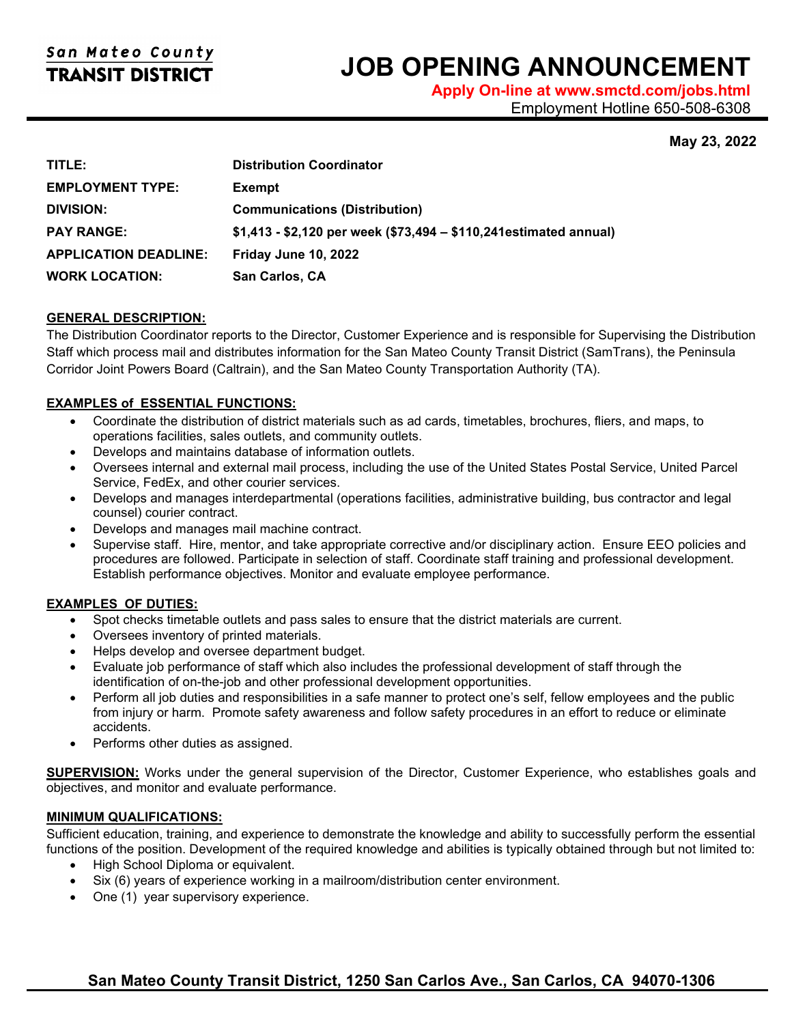# **JOB OPENING ANNOUNCEMENT**

**Apply On-line at www.smctd.com/jobs.html** Employment Hotline 650-508-6308

# **May 23, 2022**

| TITLE:                       | <b>Distribution Coordinator</b>                                    |
|------------------------------|--------------------------------------------------------------------|
| <b>EMPLOYMENT TYPE:</b>      | <b>Exempt</b>                                                      |
| <b>DIVISION:</b>             | <b>Communications (Distribution)</b>                               |
| <b>PAY RANGE:</b>            | $$1,413 - $2,120$ per week (\$73,494 – \$110,241 estimated annual) |
| <b>APPLICATION DEADLINE:</b> | Friday June 10, 2022                                               |
| <b>WORK LOCATION:</b>        | <b>San Carlos, CA</b>                                              |

## **GENERAL DESCRIPTION:**

The Distribution Coordinator reports to the Director, Customer Experience and is responsible for Supervising the Distribution Staff which process mail and distributes information for the San Mateo County Transit District (SamTrans), the Peninsula Corridor Joint Powers Board (Caltrain), and the San Mateo County Transportation Authority (TA).

## **EXAMPLES of ESSENTIAL FUNCTIONS:**

- Coordinate the distribution of district materials such as ad cards, timetables, brochures, fliers, and maps, to operations facilities, sales outlets, and community outlets.
- Develops and maintains database of information outlets.
- Oversees internal and external mail process, including the use of the United States Postal Service, United Parcel Service, FedEx, and other courier services.
- Develops and manages interdepartmental (operations facilities, administrative building, bus contractor and legal counsel) courier contract.
- Develops and manages mail machine contract.
- Supervise staff. Hire, mentor, and take appropriate corrective and/or disciplinary action. Ensure EEO policies and procedures are followed. Participate in selection of staff. Coordinate staff training and professional development. Establish performance objectives. Monitor and evaluate employee performance.

## **EXAMPLES OF DUTIES:**

- Spot checks timetable outlets and pass sales to ensure that the district materials are current.
- Oversees inventory of printed materials.
- Helps develop and oversee department budget.
- Evaluate job performance of staff which also includes the professional development of staff through the identification of on-the-job and other professional development opportunities.
- Perform all job duties and responsibilities in a safe manner to protect one's self, fellow employees and the public from injury or harm. Promote safety awareness and follow safety procedures in an effort to reduce or eliminate accidents.
- Performs other duties as assigned.

**SUPERVISION:** Works under the general supervision of the Director, Customer Experience, who establishes goals and objectives, and monitor and evaluate performance.

## **MINIMUM QUALIFICATIONS:**

Sufficient education, training, and experience to demonstrate the knowledge and ability to successfully perform the essential functions of the position. Development of the required knowledge and abilities is typically obtained through but not limited to:

- High School Diploma or equivalent.
- Six (6) years of experience working in a mailroom/distribution center environment.
- One (1) year supervisory experience.